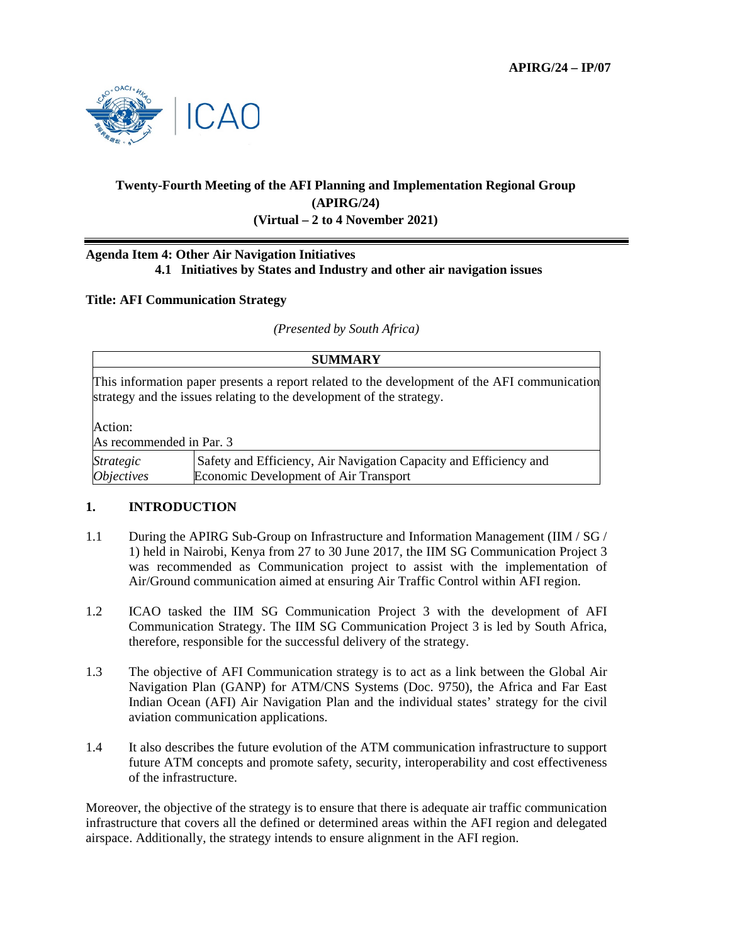

# **Twenty-Fourth Meeting of the AFI Planning and Implementation Regional Group (APIRG/24) (Virtual – 2 to 4 November 2021)**

### **Agenda Item 4: Other Air Navigation Initiatives 4.1 Initiatives by States and Industry and other air navigation issues**

#### **Title: AFI Communication Strategy**

*(Presented by South Africa)* 

| <b>SUMMARY</b>                                                                                                                                                       |                                                                                                            |
|----------------------------------------------------------------------------------------------------------------------------------------------------------------------|------------------------------------------------------------------------------------------------------------|
| This information paper presents a report related to the development of the AFI communication<br>strategy and the issues relating to the development of the strategy. |                                                                                                            |
| Action:                                                                                                                                                              |                                                                                                            |
| As recommended in Par. 3                                                                                                                                             |                                                                                                            |
| <b>Strategic</b><br><i><b>Objectives</b></i>                                                                                                                         | Safety and Efficiency, Air Navigation Capacity and Efficiency and<br>Economic Development of Air Transport |

#### **1. INTRODUCTION**

- 1.1 During the APIRG Sub-Group on Infrastructure and Information Management (IIM / SG / 1) held in Nairobi, Kenya from 27 to 30 June 2017, the IIM SG Communication Project 3 was recommended as Communication project to assist with the implementation of Air/Ground communication aimed at ensuring Air Traffic Control within AFI region.
- 1.2 ICAO tasked the IIM SG Communication Project 3 with the development of AFI Communication Strategy. The IIM SG Communication Project 3 is led by South Africa, therefore, responsible for the successful delivery of the strategy.
- 1.3 The objective of AFI Communication strategy is to act as a link between the Global Air Navigation Plan (GANP) for ATM/CNS Systems (Doc. 9750), the Africa and Far East Indian Ocean (AFI) Air Navigation Plan and the individual states' strategy for the civil aviation communication applications.
- 1.4 It also describes the future evolution of the ATM communication infrastructure to support future ATM concepts and promote safety, security, interoperability and cost effectiveness of the infrastructure.

Moreover, the objective of the strategy is to ensure that there is adequate air traffic communication infrastructure that covers all the defined or determined areas within the AFI region and delegated airspace. Additionally, the strategy intends to ensure alignment in the AFI region.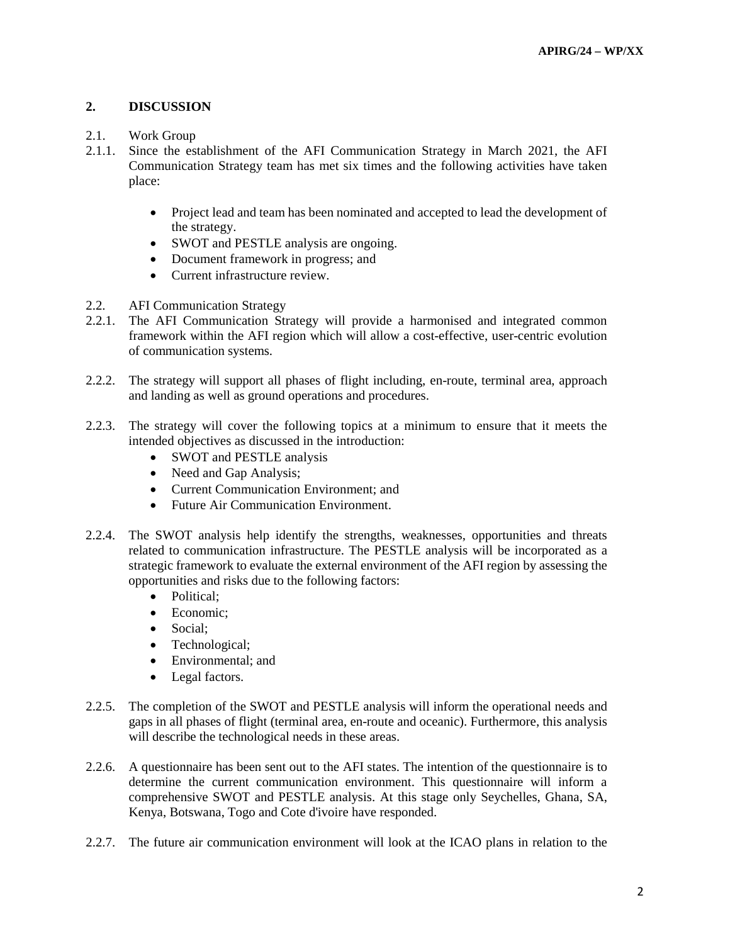## **2. DISCUSSION**

- 2.1. Work Group
- 2.1.1. Since the establishment of the AFI Communication Strategy in March 2021, the AFI Communication Strategy team has met six times and the following activities have taken place:
	- Project lead and team has been nominated and accepted to lead the development of the strategy.
	- SWOT and PESTLE analysis are ongoing.
	- Document framework in progress; and
	- Current infrastructure review.
- 2.2. AFI Communication Strategy
- 2.2.1. The AFI Communication Strategy will provide a harmonised and integrated common framework within the AFI region which will allow a cost-effective, user-centric evolution of communication systems.
- 2.2.2. The strategy will support all phases of flight including, en-route, terminal area, approach and landing as well as ground operations and procedures.
- 2.2.3. The strategy will cover the following topics at a minimum to ensure that it meets the intended objectives as discussed in the introduction:
	- SWOT and PESTLE analysis
	- Need and Gap Analysis;
	- Current Communication Environment; and
	- Future Air Communication Environment.
- 2.2.4. The SWOT analysis help identify the strengths, weaknesses, opportunities and threats related to communication infrastructure. The PESTLE analysis will be incorporated as a strategic framework to evaluate the external environment of the AFI region by assessing the opportunities and risks due to the following factors:
	- Political:
	- Economic:
	- Social;
	- Technological:
	- Environmental; and
	- Legal factors.
- 2.2.5. The completion of the SWOT and PESTLE analysis will inform the operational needs and gaps in all phases of flight (terminal area, en-route and oceanic). Furthermore, this analysis will describe the technological needs in these areas.
- 2.2.6. A questionnaire has been sent out to the AFI states. The intention of the questionnaire is to determine the current communication environment. This questionnaire will inform a comprehensive SWOT and PESTLE analysis. At this stage only Seychelles, Ghana, SA, Kenya, Botswana, Togo and Cote d'ivoire have responded.
- 2.2.7. The future air communication environment will look at the ICAO plans in relation to the